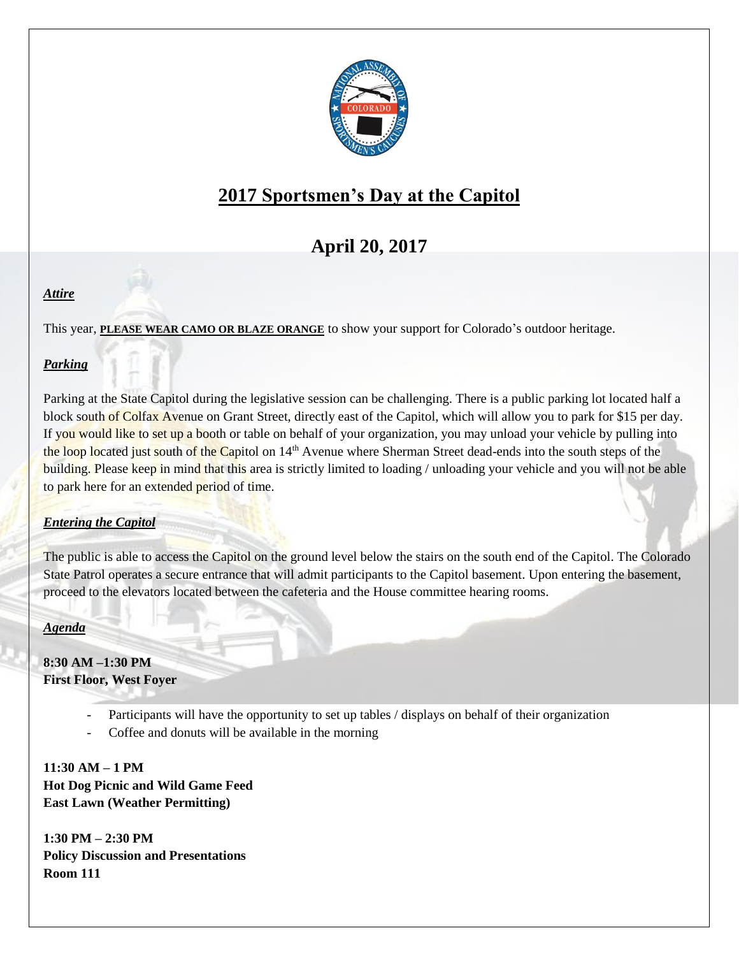

# **2017 Sportsmen's Day at the Capitol**

## **April 20, 2017**

## *Attire*

This year, **PLEASE WEAR CAMO OR BLAZE ORANGE** to show your support for Colorado's outdoor heritage.

## *Parking*

Parking at the State Capitol during the legislative session can be challenging. There is a public parking lot located half a block south of Colfax Avenue on Grant Street, directly east of the Capitol, which will allow you to park for \$15 per day. If you would like to set up a booth or table on behalf of your organization, you may unload your vehicle by pulling into the loop located just south of the Capitol on 14<sup>th</sup> Avenue where Sherman Street dead-ends into the south steps of the building. Please keep in mind that this area is strictly limited to loading / unloading your vehicle and you will not be able to park here for an extended period of time.

#### *Entering the Capitol*

The public is able to access the Capitol on the ground level below the stairs on the south end of the Capitol. The Colorado State Patrol operates a secure entrance that will admit participants to the Capitol basement. Upon entering the basement, proceed to the elevators located between the cafeteria and the House committee hearing rooms.

#### *Agenda*

**8:30 AM –1:30 PM First Floor, West Foyer**

- Participants will have the opportunity to set up tables / displays on behalf of their organization
- Coffee and donuts will be available in the morning

**11:30 AM – 1 PM Hot Dog Picnic and Wild Game Feed East Lawn (Weather Permitting)**

**1:30 PM – 2:30 PM Policy Discussion and Presentations Room 111**